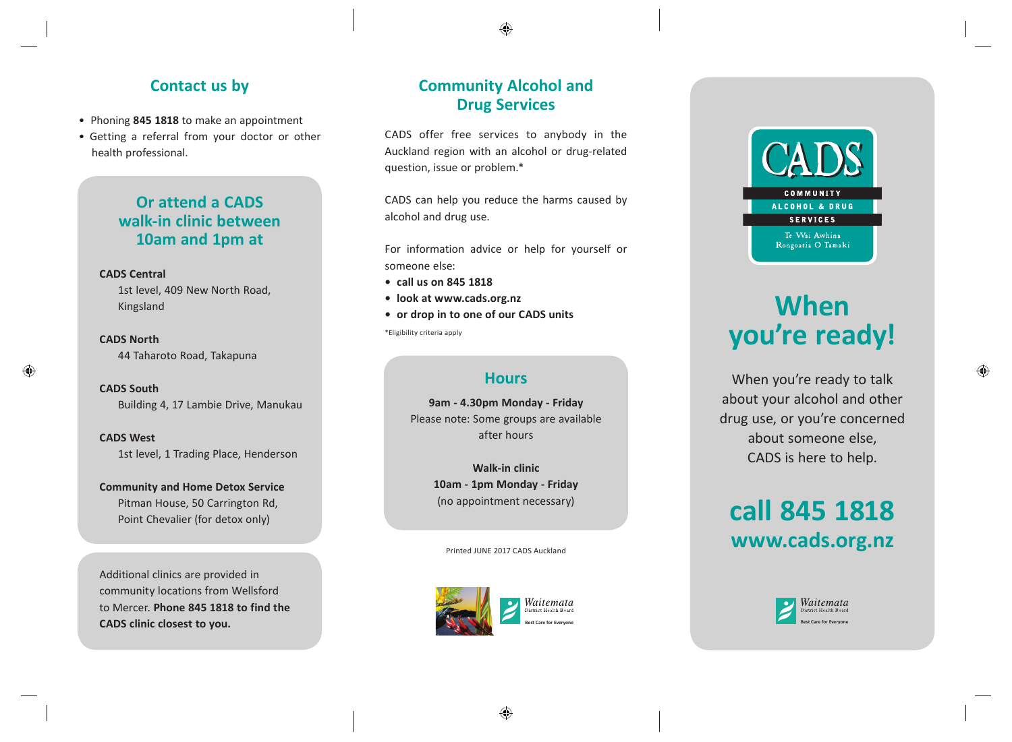### **Contact us by**

- Phoning **845 1818** to make an appointment
- Getting a referral from your doctor or other health professional.

### **Or attend a CADS walk-in clinic between 10am and 1pm at**

#### **CADS Central**

1st level, 409 New North Road, Kingsland

**CADS North**  44 Taharoto Road, Takapuna

**CADS South**  Building 4, 17 Lambie Drive, Manukau

**CADS West**  1st level, 1 Trading Place, Henderson

**Community and Home Detox Service** Pitman House, 50 Carrington Rd, Point Chevalier (for detox only)

Additional clinics are provided in community locations from Wellsford to Mercer. **Phone 845 1818 to find the CADS clinic closest to you.** 

### **Community Alcohol and Drug Services**

 $\bigoplus$ 

CADS offer free services to anybody in the Auckland region with an alcohol or drug-related question, issue or problem.\*

CADS can help you reduce the harms caused by alcohol and drug use.

For information advice or help for yourself or someone else:

- **call us on 845 1818**
- **look at www.cads.org.nz**
- **or drop in to one of our CADS units**

\*Eligibility criteria apply

### **Hours**

**9am - 4.30pm Monday - Friday** Please note: Some groups are available after hours

> **Walk-in clinic 10am - 1pm Monday - Friday** (no appointment necessary)

Printed JUNE 2017 CADS Auckland





## **COMMUNITY** ALCOHOL & DRUG **SERVICES** Te Wai Awhina Rongoatia O Tamaki

# **When you're ready!**

When you're ready to talk about your alcohol and other drug use, or you're concerned about someone else, CADS is here to help.

## **call 845 1818 www.cads.org.nz**



♠